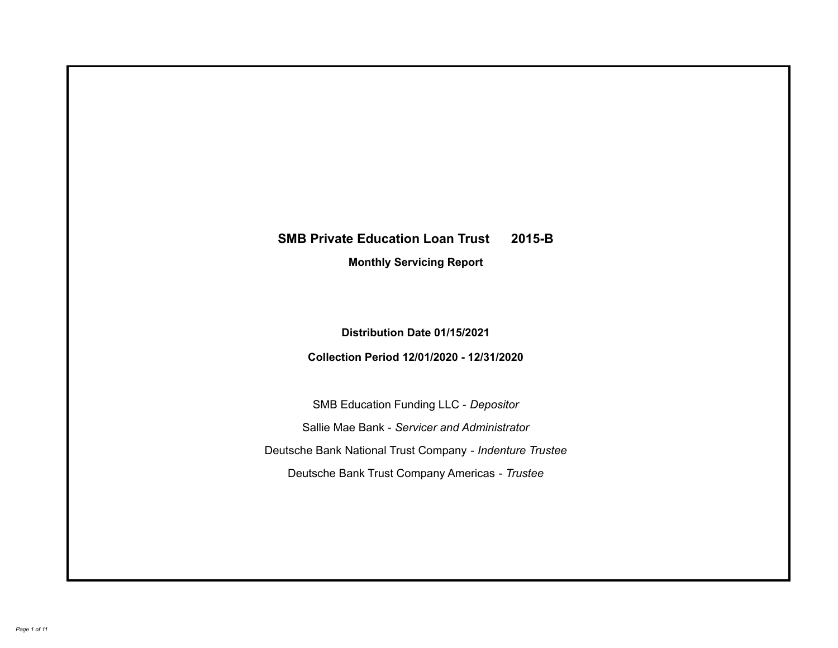# **SMB Private Education Loan Trust 2015-B Monthly Servicing Report**

**Distribution Date 01/15/2021**

**Collection Period 12/01/2020 - 12/31/2020**

SMB Education Funding LLC - *Depositor* Sallie Mae Bank - *Servicer and Administrator* Deutsche Bank National Trust Company - *Indenture Trustee* Deutsche Bank Trust Company Americas - *Trustee*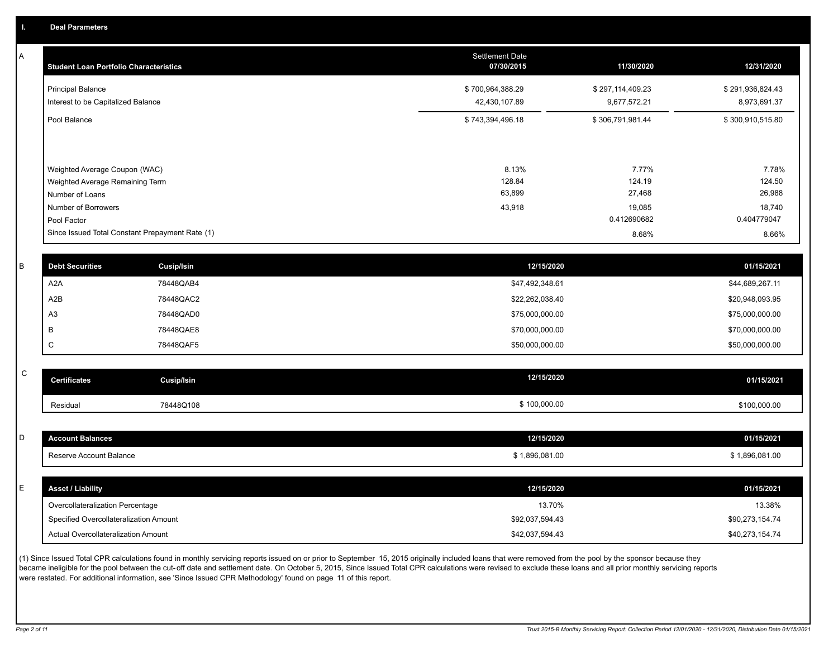A

| <b>Student Loan Portfolio Characteristics</b>                                                                             | <b>Settlement Date</b><br>07/30/2015 | 11/30/2020                                         | 12/31/2020                                         |
|---------------------------------------------------------------------------------------------------------------------------|--------------------------------------|----------------------------------------------------|----------------------------------------------------|
| <b>Principal Balance</b><br>Interest to be Capitalized Balance                                                            | \$700,964,388.29<br>42,430,107.89    | \$297,114,409.23<br>9,677,572.21                   | \$291,936,824.43<br>8,973,691.37                   |
| Pool Balance                                                                                                              | \$743,394,496.18                     | \$306,791,981.44                                   | \$300,910,515.80                                   |
| Weighted Average Coupon (WAC)<br>Weighted Average Remaining Term<br>Number of Loans<br>Number of Borrowers<br>Pool Factor | 8.13%<br>128.84<br>63,899<br>43,918  | 7.77%<br>124.19<br>27,468<br>19,085<br>0.412690682 | 7.78%<br>124.50<br>26,988<br>18,740<br>0.404779047 |
| Since Issued Total Constant Prepayment Rate (1)                                                                           |                                      | 8.68%                                              | 8.66%                                              |
|                                                                                                                           |                                      |                                                    |                                                    |

| B | <b>Debt Securities</b> | Cusip/Isin | 12/15/2020      | 01/15/2021      |
|---|------------------------|------------|-----------------|-----------------|
|   | A2A                    | 78448QAB4  | \$47,492,348.61 | \$44,689,267.11 |
|   | A2B                    | 78448QAC2  | \$22,262,038.40 | \$20,948,093.95 |
|   | A3                     | 78448QAD0  | \$75,000,000.00 | \$75,000,000.00 |
|   | в                      | 78448QAE8  | \$70,000,000.00 | \$70,000,000.00 |
|   | ◡                      | 78448QAF5  | \$50,000,000.00 | \$50,000,000.00 |

| ັ | <b>Certificates</b> | Cusip/Isin | 12/15/2020   | 01/15/2021   |
|---|---------------------|------------|--------------|--------------|
|   | Residual            | 78448Q108  | \$100,000.00 | \$100,000.00 |

| D  | <b>Account Balances</b>                | 12/15/2020      | 01/15/2021      |
|----|----------------------------------------|-----------------|-----------------|
|    | Reserve Account Balance                | \$1,896,081.00  | \$1,896,081.00  |
|    |                                        |                 |                 |
| E. | <b>Asset / Liability</b>               | 12/15/2020      | 01/15/2021      |
|    | Overcollateralization Percentage       | 13.70%          | 13.38%          |
|    | Specified Overcollateralization Amount | \$92,037,594.43 | \$90,273,154.74 |
|    | Actual Overcollateralization Amount    | \$42,037,594.43 | \$40,273,154.74 |

(1) Since Issued Total CPR calculations found in monthly servicing reports issued on or prior to September 15, 2015 originally included loans that were removed from the pool by the sponsor because they became ineligible for the pool between the cut-off date and settlement date. On October 5, 2015, Since Issued Total CPR calculations were revised to exclude these loans and all prior monthly servicing reports were restated. For additional information, see 'Since Issued CPR Methodology' found on page 11 of this report.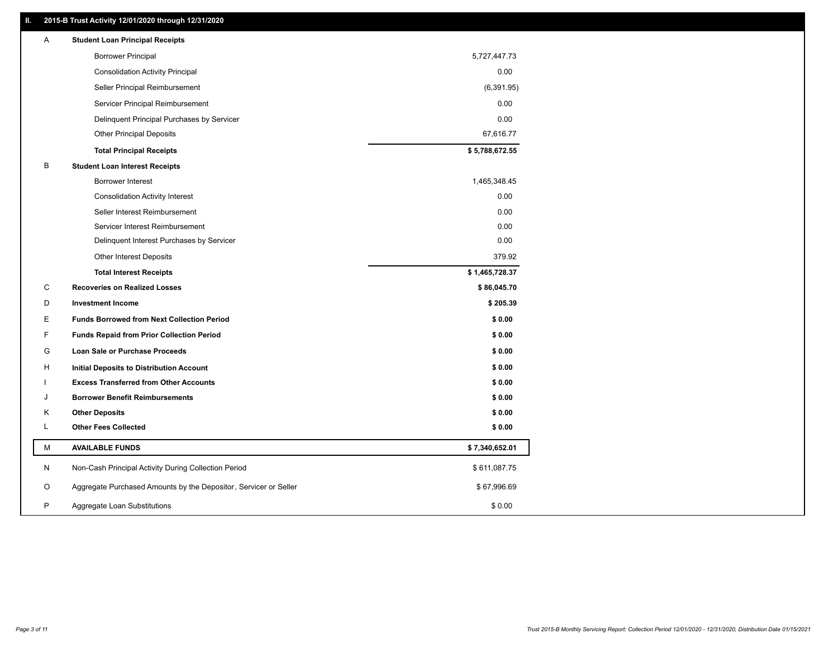### **II. 2015-B Trust Activity 12/01/2020 through 12/31/2020**

| <b>Borrower Principal</b><br>5,727,447.73<br>0.00<br><b>Consolidation Activity Principal</b><br>Seller Principal Reimbursement<br>(6, 391.95)<br>Servicer Principal Reimbursement<br>0.00<br>0.00<br>Delinquent Principal Purchases by Servicer<br>67,616.77<br><b>Other Principal Deposits</b><br>\$5,788,672.55<br><b>Total Principal Receipts</b><br>В<br><b>Student Loan Interest Receipts</b><br><b>Borrower Interest</b><br>1,465,348.45<br>0.00<br><b>Consolidation Activity Interest</b><br>Seller Interest Reimbursement<br>0.00<br>Servicer Interest Reimbursement<br>0.00<br>Delinquent Interest Purchases by Servicer<br>0.00<br>379.92<br><b>Other Interest Deposits</b><br>\$1,465,728.37<br><b>Total Interest Receipts</b><br>С<br>\$86,045.70<br><b>Recoveries on Realized Losses</b><br>\$205.39<br>D<br><b>Investment Income</b><br>Е<br><b>Funds Borrowed from Next Collection Period</b><br>\$0.00<br>F<br>\$0.00<br><b>Funds Repaid from Prior Collection Period</b><br>G<br>\$0.00<br><b>Loan Sale or Purchase Proceeds</b><br>\$0.00<br>H<br>Initial Deposits to Distribution Account<br>\$0.00<br><b>Excess Transferred from Other Accounts</b><br>\$0.00<br>J<br><b>Borrower Benefit Reimbursements</b><br>K<br><b>Other Deposits</b><br>\$0.00<br>L<br><b>Other Fees Collected</b><br>\$0.00<br>М<br><b>AVAILABLE FUNDS</b><br>\$7,340,652.01<br>\$611,087.75<br>N<br>Non-Cash Principal Activity During Collection Period<br>Aggregate Purchased Amounts by the Depositor, Servicer or Seller<br>\$67,996.69<br>O<br>P<br>\$0.00<br>Aggregate Loan Substitutions | Α | <b>Student Loan Principal Receipts</b> |  |
|---------------------------------------------------------------------------------------------------------------------------------------------------------------------------------------------------------------------------------------------------------------------------------------------------------------------------------------------------------------------------------------------------------------------------------------------------------------------------------------------------------------------------------------------------------------------------------------------------------------------------------------------------------------------------------------------------------------------------------------------------------------------------------------------------------------------------------------------------------------------------------------------------------------------------------------------------------------------------------------------------------------------------------------------------------------------------------------------------------------------------------------------------------------------------------------------------------------------------------------------------------------------------------------------------------------------------------------------------------------------------------------------------------------------------------------------------------------------------------------------------------------------------------------------------------------------------------------------|---|----------------------------------------|--|
|                                                                                                                                                                                                                                                                                                                                                                                                                                                                                                                                                                                                                                                                                                                                                                                                                                                                                                                                                                                                                                                                                                                                                                                                                                                                                                                                                                                                                                                                                                                                                                                             |   |                                        |  |
|                                                                                                                                                                                                                                                                                                                                                                                                                                                                                                                                                                                                                                                                                                                                                                                                                                                                                                                                                                                                                                                                                                                                                                                                                                                                                                                                                                                                                                                                                                                                                                                             |   |                                        |  |
|                                                                                                                                                                                                                                                                                                                                                                                                                                                                                                                                                                                                                                                                                                                                                                                                                                                                                                                                                                                                                                                                                                                                                                                                                                                                                                                                                                                                                                                                                                                                                                                             |   |                                        |  |
|                                                                                                                                                                                                                                                                                                                                                                                                                                                                                                                                                                                                                                                                                                                                                                                                                                                                                                                                                                                                                                                                                                                                                                                                                                                                                                                                                                                                                                                                                                                                                                                             |   |                                        |  |
|                                                                                                                                                                                                                                                                                                                                                                                                                                                                                                                                                                                                                                                                                                                                                                                                                                                                                                                                                                                                                                                                                                                                                                                                                                                                                                                                                                                                                                                                                                                                                                                             |   |                                        |  |
|                                                                                                                                                                                                                                                                                                                                                                                                                                                                                                                                                                                                                                                                                                                                                                                                                                                                                                                                                                                                                                                                                                                                                                                                                                                                                                                                                                                                                                                                                                                                                                                             |   |                                        |  |
|                                                                                                                                                                                                                                                                                                                                                                                                                                                                                                                                                                                                                                                                                                                                                                                                                                                                                                                                                                                                                                                                                                                                                                                                                                                                                                                                                                                                                                                                                                                                                                                             |   |                                        |  |
|                                                                                                                                                                                                                                                                                                                                                                                                                                                                                                                                                                                                                                                                                                                                                                                                                                                                                                                                                                                                                                                                                                                                                                                                                                                                                                                                                                                                                                                                                                                                                                                             |   |                                        |  |
|                                                                                                                                                                                                                                                                                                                                                                                                                                                                                                                                                                                                                                                                                                                                                                                                                                                                                                                                                                                                                                                                                                                                                                                                                                                                                                                                                                                                                                                                                                                                                                                             |   |                                        |  |
|                                                                                                                                                                                                                                                                                                                                                                                                                                                                                                                                                                                                                                                                                                                                                                                                                                                                                                                                                                                                                                                                                                                                                                                                                                                                                                                                                                                                                                                                                                                                                                                             |   |                                        |  |
|                                                                                                                                                                                                                                                                                                                                                                                                                                                                                                                                                                                                                                                                                                                                                                                                                                                                                                                                                                                                                                                                                                                                                                                                                                                                                                                                                                                                                                                                                                                                                                                             |   |                                        |  |
|                                                                                                                                                                                                                                                                                                                                                                                                                                                                                                                                                                                                                                                                                                                                                                                                                                                                                                                                                                                                                                                                                                                                                                                                                                                                                                                                                                                                                                                                                                                                                                                             |   |                                        |  |
|                                                                                                                                                                                                                                                                                                                                                                                                                                                                                                                                                                                                                                                                                                                                                                                                                                                                                                                                                                                                                                                                                                                                                                                                                                                                                                                                                                                                                                                                                                                                                                                             |   |                                        |  |
|                                                                                                                                                                                                                                                                                                                                                                                                                                                                                                                                                                                                                                                                                                                                                                                                                                                                                                                                                                                                                                                                                                                                                                                                                                                                                                                                                                                                                                                                                                                                                                                             |   |                                        |  |
|                                                                                                                                                                                                                                                                                                                                                                                                                                                                                                                                                                                                                                                                                                                                                                                                                                                                                                                                                                                                                                                                                                                                                                                                                                                                                                                                                                                                                                                                                                                                                                                             |   |                                        |  |
|                                                                                                                                                                                                                                                                                                                                                                                                                                                                                                                                                                                                                                                                                                                                                                                                                                                                                                                                                                                                                                                                                                                                                                                                                                                                                                                                                                                                                                                                                                                                                                                             |   |                                        |  |
|                                                                                                                                                                                                                                                                                                                                                                                                                                                                                                                                                                                                                                                                                                                                                                                                                                                                                                                                                                                                                                                                                                                                                                                                                                                                                                                                                                                                                                                                                                                                                                                             |   |                                        |  |
|                                                                                                                                                                                                                                                                                                                                                                                                                                                                                                                                                                                                                                                                                                                                                                                                                                                                                                                                                                                                                                                                                                                                                                                                                                                                                                                                                                                                                                                                                                                                                                                             |   |                                        |  |
|                                                                                                                                                                                                                                                                                                                                                                                                                                                                                                                                                                                                                                                                                                                                                                                                                                                                                                                                                                                                                                                                                                                                                                                                                                                                                                                                                                                                                                                                                                                                                                                             |   |                                        |  |
|                                                                                                                                                                                                                                                                                                                                                                                                                                                                                                                                                                                                                                                                                                                                                                                                                                                                                                                                                                                                                                                                                                                                                                                                                                                                                                                                                                                                                                                                                                                                                                                             |   |                                        |  |
|                                                                                                                                                                                                                                                                                                                                                                                                                                                                                                                                                                                                                                                                                                                                                                                                                                                                                                                                                                                                                                                                                                                                                                                                                                                                                                                                                                                                                                                                                                                                                                                             |   |                                        |  |
|                                                                                                                                                                                                                                                                                                                                                                                                                                                                                                                                                                                                                                                                                                                                                                                                                                                                                                                                                                                                                                                                                                                                                                                                                                                                                                                                                                                                                                                                                                                                                                                             |   |                                        |  |
|                                                                                                                                                                                                                                                                                                                                                                                                                                                                                                                                                                                                                                                                                                                                                                                                                                                                                                                                                                                                                                                                                                                                                                                                                                                                                                                                                                                                                                                                                                                                                                                             |   |                                        |  |
|                                                                                                                                                                                                                                                                                                                                                                                                                                                                                                                                                                                                                                                                                                                                                                                                                                                                                                                                                                                                                                                                                                                                                                                                                                                                                                                                                                                                                                                                                                                                                                                             |   |                                        |  |
|                                                                                                                                                                                                                                                                                                                                                                                                                                                                                                                                                                                                                                                                                                                                                                                                                                                                                                                                                                                                                                                                                                                                                                                                                                                                                                                                                                                                                                                                                                                                                                                             |   |                                        |  |
|                                                                                                                                                                                                                                                                                                                                                                                                                                                                                                                                                                                                                                                                                                                                                                                                                                                                                                                                                                                                                                                                                                                                                                                                                                                                                                                                                                                                                                                                                                                                                                                             |   |                                        |  |
|                                                                                                                                                                                                                                                                                                                                                                                                                                                                                                                                                                                                                                                                                                                                                                                                                                                                                                                                                                                                                                                                                                                                                                                                                                                                                                                                                                                                                                                                                                                                                                                             |   |                                        |  |
|                                                                                                                                                                                                                                                                                                                                                                                                                                                                                                                                                                                                                                                                                                                                                                                                                                                                                                                                                                                                                                                                                                                                                                                                                                                                                                                                                                                                                                                                                                                                                                                             |   |                                        |  |
|                                                                                                                                                                                                                                                                                                                                                                                                                                                                                                                                                                                                                                                                                                                                                                                                                                                                                                                                                                                                                                                                                                                                                                                                                                                                                                                                                                                                                                                                                                                                                                                             |   |                                        |  |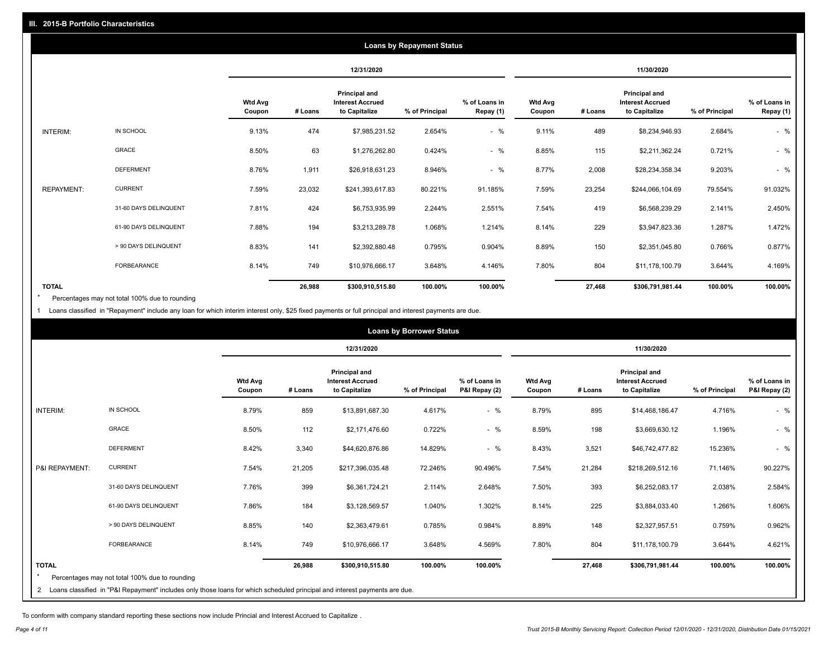|                   |                       |                          |         |                                                           | <b>Loans by Repayment Status</b> |                            |                          |         |                                                           |                |                            |
|-------------------|-----------------------|--------------------------|---------|-----------------------------------------------------------|----------------------------------|----------------------------|--------------------------|---------|-----------------------------------------------------------|----------------|----------------------------|
|                   |                       |                          |         | 12/31/2020                                                |                                  |                            |                          |         | 11/30/2020                                                |                |                            |
|                   |                       | <b>Wtd Avg</b><br>Coupon | # Loans | Principal and<br><b>Interest Accrued</b><br>to Capitalize | % of Principal                   | % of Loans in<br>Repay (1) | <b>Wtd Avg</b><br>Coupon | # Loans | Principal and<br><b>Interest Accrued</b><br>to Capitalize | % of Principal | % of Loans in<br>Repay (1) |
| INTERIM:          | IN SCHOOL             | 9.13%                    | 474     | \$7,985,231.52                                            | 2.654%                           | $-$ %                      | 9.11%                    | 489     | \$8,234,946.93                                            | 2.684%         | $-$ %                      |
|                   | <b>GRACE</b>          | 8.50%                    | 63      | \$1,276,262.80                                            | 0.424%                           | $-$ %                      | 8.85%                    | 115     | \$2,211,362.24                                            | 0.721%         | $-$ %                      |
|                   | <b>DEFERMENT</b>      | 8.76%                    | 1,911   | \$26,918,631.23                                           | 8.946%                           | $-$ %                      | 8.77%                    | 2,008   | \$28,234,358.34                                           | 9.203%         | $-$ %                      |
| <b>REPAYMENT:</b> | <b>CURRENT</b>        | 7.59%                    | 23,032  | \$241,393,617.83                                          | 80.221%                          | 91.185%                    | 7.59%                    | 23,254  | \$244,066,104.69                                          | 79.554%        | 91.032%                    |
|                   | 31-60 DAYS DELINQUENT | 7.81%                    | 424     | \$6,753,935.99                                            | 2.244%                           | 2.551%                     | 7.54%                    | 419     | \$6,568,239.29                                            | 2.141%         | 2.450%                     |
|                   | 61-90 DAYS DELINQUENT | 7.88%                    | 194     | \$3,213,289.78                                            | 1.068%                           | 1.214%                     | 8.14%                    | 229     | \$3,947,823.36                                            | 1.287%         | 1.472%                     |
|                   | > 90 DAYS DELINQUENT  | 8.83%                    | 141     | \$2,392,880.48                                            | 0.795%                           | 0.904%                     | 8.89%                    | 150     | \$2,351,045.80                                            | 0.766%         | 0.877%                     |
|                   | FORBEARANCE           | 8.14%                    | 749     | \$10,976,666.17                                           | 3.648%                           | 4.146%                     | 7.80%                    | 804     | \$11,178,100.79                                           | 3.644%         | 4.169%                     |
| <b>TOTAL</b>      |                       |                          | 26,988  | \$300,910,515.80                                          | 100.00%                          | 100.00%                    |                          | 27,468  | \$306,791,981.44                                          | 100.00%        | 100.00%                    |

Percentages may not total 100% due to rounding \*

1 Loans classified in "Repayment" include any loan for which interim interest only, \$25 fixed payments or full principal and interest payments are due.

|                |                                                                                                                            |                          |         |                                                           | <b>Loans by Borrower Status</b> |                                |                   |         |                                                                  |                |                                |
|----------------|----------------------------------------------------------------------------------------------------------------------------|--------------------------|---------|-----------------------------------------------------------|---------------------------------|--------------------------------|-------------------|---------|------------------------------------------------------------------|----------------|--------------------------------|
|                |                                                                                                                            |                          |         | 12/31/2020                                                |                                 |                                | 11/30/2020        |         |                                                                  |                |                                |
|                |                                                                                                                            | <b>Wtd Avg</b><br>Coupon | # Loans | Principal and<br><b>Interest Accrued</b><br>to Capitalize | % of Principal                  | % of Loans in<br>P&I Repay (2) | Wtd Avg<br>Coupon | # Loans | <b>Principal and</b><br><b>Interest Accrued</b><br>to Capitalize | % of Principal | % of Loans in<br>P&I Repay (2) |
| INTERIM:       | IN SCHOOL                                                                                                                  | 8.79%                    | 859     | \$13,891,687.30                                           | 4.617%                          | $-$ %                          | 8.79%             | 895     | \$14,468,186.47                                                  | 4.716%         | $-$ %                          |
|                | GRACE                                                                                                                      | 8.50%                    | 112     | \$2,171,476.60                                            | 0.722%                          | $-$ %                          | 8.59%             | 198     | \$3,669,630.12                                                   | 1.196%         | $-$ %                          |
|                | <b>DEFERMENT</b>                                                                                                           | 8.42%                    | 3,340   | \$44,620,876.86                                           | 14.829%                         | $-$ %                          | 8.43%             | 3,521   | \$46,742,477.82                                                  | 15.236%        | $-$ %                          |
| P&I REPAYMENT: | <b>CURRENT</b>                                                                                                             | 7.54%                    | 21,205  | \$217,396,035.48                                          | 72.246%                         | 90.496%                        | 7.54%             | 21,284  | \$218,269,512.16                                                 | 71.146%        | 90.227%                        |
|                | 31-60 DAYS DELINQUENT                                                                                                      | 7.76%                    | 399     | \$6,361,724.21                                            | 2.114%                          | 2.648%                         | 7.50%             | 393     | \$6,252,083.17                                                   | 2.038%         | 2.584%                         |
|                | 61-90 DAYS DELINQUENT                                                                                                      | 7.86%                    | 184     | \$3,128,569.57                                            | 1.040%                          | 1.302%                         | 8.14%             | 225     | \$3,884,033.40                                                   | 1.266%         | 1.606%                         |
|                | > 90 DAYS DELINQUENT                                                                                                       | 8.85%                    | 140     | \$2,363,479.61                                            | 0.785%                          | 0.984%                         | 8.89%             | 148     | \$2,327,957.51                                                   | 0.759%         | 0.962%                         |
|                | FORBEARANCE                                                                                                                | 8.14%                    | 749     | \$10,976,666.17                                           | 3.648%                          | 4.569%                         | 7.80%             | 804     | \$11,178,100.79                                                  | 3.644%         | 4.621%                         |
| <b>TOTAL</b>   | Percentages may not total 100% due to rounding                                                                             |                          | 26,988  | \$300,910,515.80                                          | 100.00%                         | 100.00%                        |                   | 27,468  | \$306,791,981.44                                                 | 100.00%        | 100.00%                        |
| 2              | Loans classified in "P&I Repayment" includes only those loans for which scheduled principal and interest payments are due. |                          |         |                                                           |                                 |                                |                   |         |                                                                  |                |                                |

To conform with company standard reporting these sections now include Princial and Interest Accrued to Capitalize .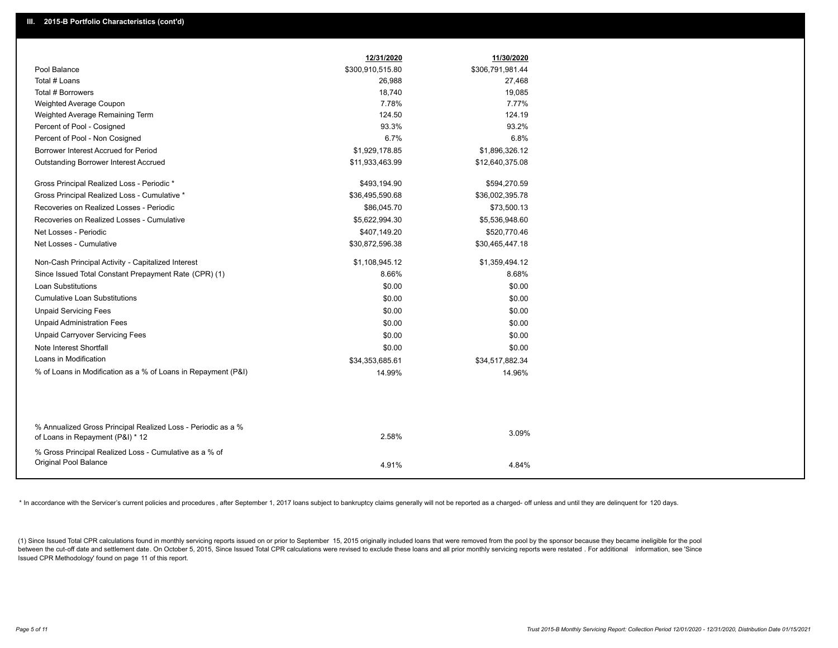|                                                                                                  | 12/31/2020       | 11/30/2020       |
|--------------------------------------------------------------------------------------------------|------------------|------------------|
| Pool Balance                                                                                     | \$300,910,515.80 | \$306,791,981.44 |
| Total # Loans                                                                                    | 26,988           | 27,468           |
| Total # Borrowers                                                                                | 18,740           | 19,085           |
| Weighted Average Coupon                                                                          | 7.78%            | 7.77%            |
| Weighted Average Remaining Term                                                                  | 124.50           | 124.19           |
| Percent of Pool - Cosigned                                                                       | 93.3%            | 93.2%            |
| Percent of Pool - Non Cosigned                                                                   | 6.7%             | 6.8%             |
| Borrower Interest Accrued for Period                                                             | \$1,929,178.85   | \$1,896,326.12   |
| <b>Outstanding Borrower Interest Accrued</b>                                                     | \$11,933,463.99  | \$12,640,375.08  |
| Gross Principal Realized Loss - Periodic *                                                       | \$493,194.90     | \$594,270.59     |
| Gross Principal Realized Loss - Cumulative *                                                     | \$36,495,590.68  | \$36,002,395.78  |
| Recoveries on Realized Losses - Periodic                                                         | \$86,045.70      | \$73,500.13      |
| Recoveries on Realized Losses - Cumulative                                                       | \$5,622,994.30   | \$5,536,948.60   |
| Net Losses - Periodic                                                                            | \$407,149.20     | \$520,770.46     |
| Net Losses - Cumulative                                                                          | \$30,872,596.38  | \$30,465,447.18  |
| Non-Cash Principal Activity - Capitalized Interest                                               | \$1,108,945.12   | \$1,359,494.12   |
| Since Issued Total Constant Prepayment Rate (CPR) (1)                                            | 8.66%            | 8.68%            |
| Loan Substitutions                                                                               | \$0.00           | \$0.00           |
| <b>Cumulative Loan Substitutions</b>                                                             | \$0.00           | \$0.00           |
| <b>Unpaid Servicing Fees</b>                                                                     | \$0.00           | \$0.00           |
| <b>Unpaid Administration Fees</b>                                                                | \$0.00           | \$0.00           |
| <b>Unpaid Carryover Servicing Fees</b>                                                           | \$0.00           | \$0.00           |
| Note Interest Shortfall                                                                          | \$0.00           | \$0.00           |
| Loans in Modification                                                                            | \$34,353,685.61  | \$34,517,882.34  |
| % of Loans in Modification as a % of Loans in Repayment (P&I)                                    | 14.99%           | 14.96%           |
|                                                                                                  |                  |                  |
|                                                                                                  |                  |                  |
| % Annualized Gross Principal Realized Loss - Periodic as a %<br>of Loans in Repayment (P&I) * 12 | 2.58%            | 3.09%            |
| % Gross Principal Realized Loss - Cumulative as a % of                                           |                  |                  |
| Original Pool Balance                                                                            | 4.91%            | 4.84%            |
|                                                                                                  |                  |                  |

\* In accordance with the Servicer's current policies and procedures, after September 1, 2017 loans subject to bankruptcy claims generally will not be reported as a charged- off unless and until they are delinquent for 120

(1) Since Issued Total CPR calculations found in monthly servicing reports issued on or prior to September 15, 2015 originally included loans that were removed from the pool by the sponsor because they became ineligible fo between the cut-off date and settlement date. On October 5, 2015, Since Issued Total CPR calculations were revised to exclude these loans and all prior monthly servicing reports were restated. For additional information, s Issued CPR Methodology' found on page 11 of this report.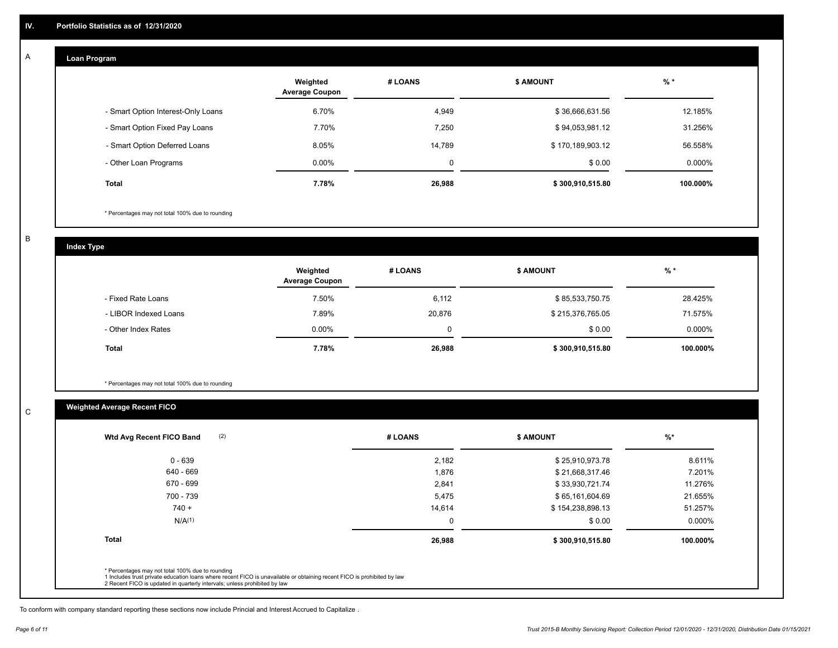#### **Loan Program**  A

|                                    | Weighted<br><b>Average Coupon</b> | # LOANS     | <b>\$ AMOUNT</b> | $%$ *    |
|------------------------------------|-----------------------------------|-------------|------------------|----------|
| - Smart Option Interest-Only Loans | 6.70%                             | 4,949       | \$36,666,631.56  | 12.185%  |
| - Smart Option Fixed Pay Loans     | 7.70%                             | 7.250       | \$94,053,981.12  | 31.256%  |
| - Smart Option Deferred Loans      | 8.05%                             | 14.789      | \$170,189,903.12 | 56.558%  |
| - Other Loan Programs              | $0.00\%$                          | $\mathbf 0$ | \$0.00           | 0.000%   |
| <b>Total</b>                       | 7.78%                             | 26,988      | \$300,910,515.80 | 100.000% |

\* Percentages may not total 100% due to rounding

B

C

**Index Type**

|                       | Weighted<br><b>Average Coupon</b> | # LOANS     | <b>\$ AMOUNT</b> | $%$ *     |
|-----------------------|-----------------------------------|-------------|------------------|-----------|
| - Fixed Rate Loans    | 7.50%                             | 6,112       | \$85,533,750.75  | 28.425%   |
| - LIBOR Indexed Loans | 7.89%                             | 20,876      | \$215,376,765.05 | 71.575%   |
| - Other Index Rates   | $0.00\%$                          | $\mathbf 0$ | \$0.00           | $0.000\%$ |
| <b>Total</b>          | 7.78%                             | 26,988      | \$300,910,515.80 | 100.000%  |

\* Percentages may not total 100% due to rounding

### **Weighted Average Recent FICO**

| 2,182<br>1,876<br>2,841<br>5,475 | \$25,910,973.78<br>\$21,668,317.46<br>\$33,930,721.74<br>\$65,161,604.69 | 8.611%<br>7.201%<br>11.276% |
|----------------------------------|--------------------------------------------------------------------------|-----------------------------|
|                                  |                                                                          |                             |
|                                  |                                                                          |                             |
|                                  |                                                                          |                             |
|                                  |                                                                          | 21.655%                     |
| 14,614                           | \$154,238,898.13                                                         | 51.257%                     |
| $\Omega$                         | \$0.00                                                                   | $0.000\%$                   |
|                                  | \$300,910,515.80                                                         | 100.000%                    |
|                                  | 26,988                                                                   |                             |

To conform with company standard reporting these sections now include Princial and Interest Accrued to Capitalize .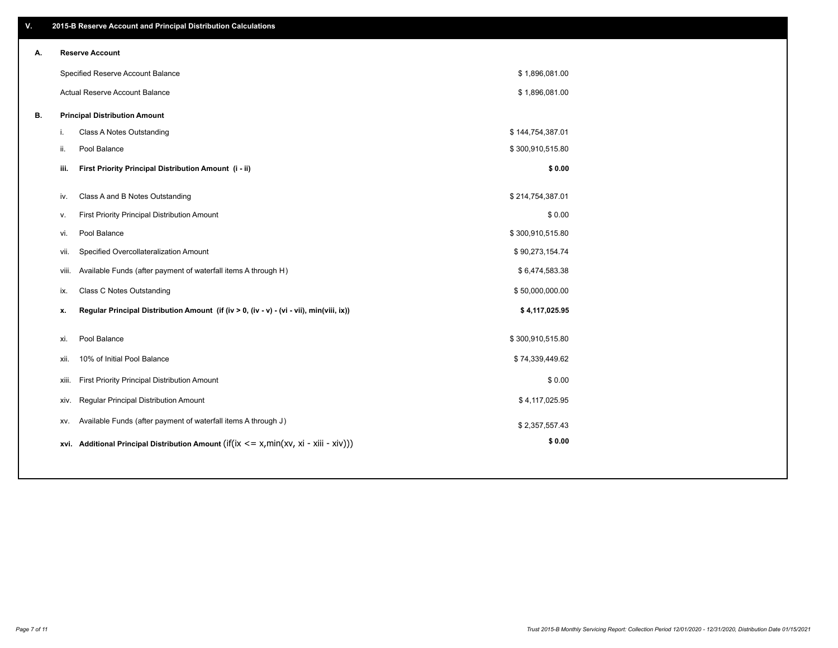| V. |     | 2015-B Reserve Account and Principal Distribution Calculations                                 |                  |  |
|----|-----|------------------------------------------------------------------------------------------------|------------------|--|
| А. |     | <b>Reserve Account</b>                                                                         |                  |  |
|    |     | Specified Reserve Account Balance                                                              | \$1,896,081.00   |  |
|    |     | Actual Reserve Account Balance                                                                 | \$1,896,081.00   |  |
| В. |     | <b>Principal Distribution Amount</b>                                                           |                  |  |
|    | i.  | Class A Notes Outstanding                                                                      | \$144,754,387.01 |  |
|    | ii. | Pool Balance                                                                                   | \$300,910,515.80 |  |
|    |     | First Priority Principal Distribution Amount (i - ii)<br>iii.                                  | \$0.00           |  |
|    |     | Class A and B Notes Outstanding<br>iv.                                                         | \$214,754,387.01 |  |
|    | v.  | First Priority Principal Distribution Amount                                                   | \$0.00           |  |
|    |     | Pool Balance<br>vi.                                                                            | \$300,910,515.80 |  |
|    |     | Specified Overcollateralization Amount<br>vii.                                                 | \$90,273,154.74  |  |
|    |     | Available Funds (after payment of waterfall items A through H)<br>viii.                        | \$6,474,583.38   |  |
|    |     | Class C Notes Outstanding<br>ix.                                                               | \$50,000,000.00  |  |
|    |     | Regular Principal Distribution Amount (if (iv > 0, (iv - v) - (vi - vii), min(viii, ix))<br>x. | \$4,117,025.95   |  |
|    |     |                                                                                                |                  |  |
|    |     | Pool Balance<br>xi.                                                                            | \$300,910,515.80 |  |
|    |     | 10% of Initial Pool Balance<br>xii.                                                            | \$74,339,449.62  |  |
|    |     | First Priority Principal Distribution Amount<br>xiii.                                          | \$0.00           |  |
|    |     | Regular Principal Distribution Amount<br>XIV.                                                  | \$4,117,025.95   |  |
|    |     | Available Funds (after payment of waterfall items A through J)<br>XV.                          | \$2,357,557.43   |  |
|    |     | xvi. Additional Principal Distribution Amount (if(ix $\lt$ = x, min(xv, xi - xiii - xiv)))     | \$0.00           |  |
|    |     |                                                                                                |                  |  |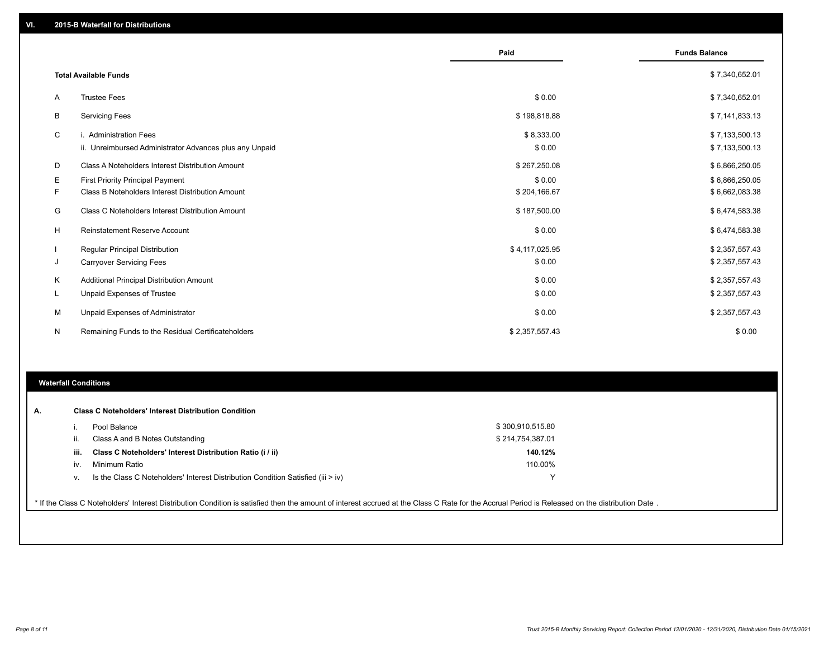|    |                                                                                   | Paid                 | <b>Funds Balance</b>             |
|----|-----------------------------------------------------------------------------------|----------------------|----------------------------------|
|    | <b>Total Available Funds</b>                                                      |                      | \$7,340,652.01                   |
| A  | <b>Trustee Fees</b>                                                               | \$0.00               | \$7,340,652.01                   |
| В  | <b>Servicing Fees</b>                                                             | \$198,818.88         | \$7,141,833.13                   |
| С  | i. Administration Fees<br>ii. Unreimbursed Administrator Advances plus any Unpaid | \$8,333.00<br>\$0.00 | \$7,133,500.13<br>\$7,133,500.13 |
| D  | Class A Noteholders Interest Distribution Amount                                  | \$267,250.08         | \$6,866,250.05                   |
| Е  | <b>First Priority Principal Payment</b>                                           | \$0.00               | \$6,866,250.05                   |
| F. | Class B Noteholders Interest Distribution Amount                                  | \$204,166.67         | \$6,662,083.38                   |
| G  | Class C Noteholders Interest Distribution Amount                                  | \$187,500.00         | \$6,474,583.38                   |
| H  | Reinstatement Reserve Account                                                     | \$0.00               | \$6,474,583.38                   |
|    | Regular Principal Distribution                                                    | \$4,117,025.95       | \$2,357,557.43                   |
| J  | <b>Carryover Servicing Fees</b>                                                   | \$0.00               | \$2,357,557.43                   |
| Κ  | Additional Principal Distribution Amount                                          | \$0.00               | \$2,357,557.43                   |
| L  | Unpaid Expenses of Trustee                                                        | \$0.00               | \$2,357,557.43                   |
| M  | Unpaid Expenses of Administrator                                                  | \$0.00               | \$2,357,557.43                   |
| N  | Remaining Funds to the Residual Certificateholders                                | \$2,357,557.43       | \$0.00                           |

#### **Waterfall Conditions**

|      | Pool Balance                                                                       | \$300,910,515.80 |  |
|------|------------------------------------------------------------------------------------|------------------|--|
|      | Class A and B Notes Outstanding                                                    | \$214,754,387.01 |  |
| iii. | Class C Noteholders' Interest Distribution Ratio (i / ii)                          | 140.12%          |  |
| İV.  | Minimum Ratio                                                                      | 110.00%          |  |
| v.   | Is the Class C Noteholders' Interest Distribution Condition Satisfied (iii $>$ iv) |                  |  |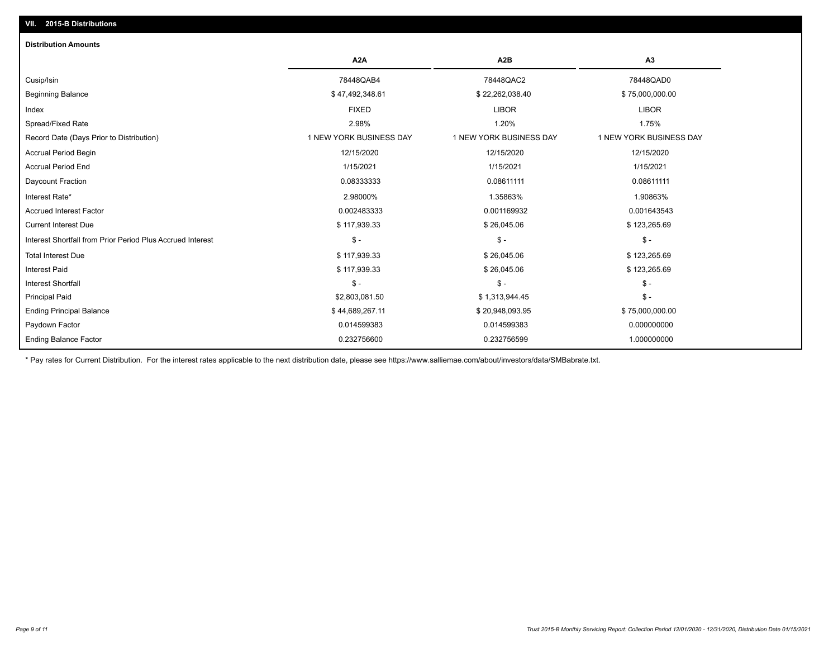## Total Interest Due \$ 117,939.33 \$ 26,045.06 \$ 123,265.69 Interest Shortfall from Prior Period Plus Accrued Interest \$ - \$ - \$ - Current Interest Due \$ 117,939.33 \$ 26,045.06 \$ 123,265.69 Accrued Interest Factor 0.002483333 0.001169932 0.001643543 Interest Rate\* 2.98000% 1.35863% 1.90863% Daycount Fraction 0.08333333 0.08611111 0.08611111 Accrual Period End 1/15/2021 1/15/2021 1/15/2021 Accrual Period Begin 12/15/2020 12/15/2020 12/15/2020 Record Date (Days Prior to Distribution) 1 1 NEW YORK BUSINESS DAY 1 NEW YORK BUSINESS DAY 1 NEW YORK BUSINESS DAY Spread/Fixed Rate 2.98% 1.20% 1.75% Index FIXED LIBOR LIBOR Beginning Balance \$ 47,492,348.61 \$ 32,262,038.40 \$ 27,492,348.61 \$ \$ \$ 47,492,348.61 \$ \$ 47,492,348.61 \$ \$ 75,000,000.00 Cusip/Isin 78448QAB4 78448QAC2 78448QAD0 **A2A A2B A3 Distribution Amounts VII. 2015-B Distributions**

Paydown Factor 0.014599383 0.014599383 0.000000000 Ending Principal Balance \$ 75,000,000.00 \$ 44,689,267.11 \$ \$ 44,689,267.11 \$ \$ 20,948,093.95 \$ 75,000,000.000 Principal Paid \$2,803,081.50 \$ 1,313,944.45 \$ - Interest Shortfall \$ - \$ - \$ - Interest Paid \$ 117,939.33 \$ 26,045.06 \$ 123,265.69

\* Pay rates for Current Distribution. For the interest rates applicable to the next distribution date, please see https://www.salliemae.com/about/investors/data/SMBabrate.txt.

0.232756600 0.232756599 1.000000000

Ending Balance Factor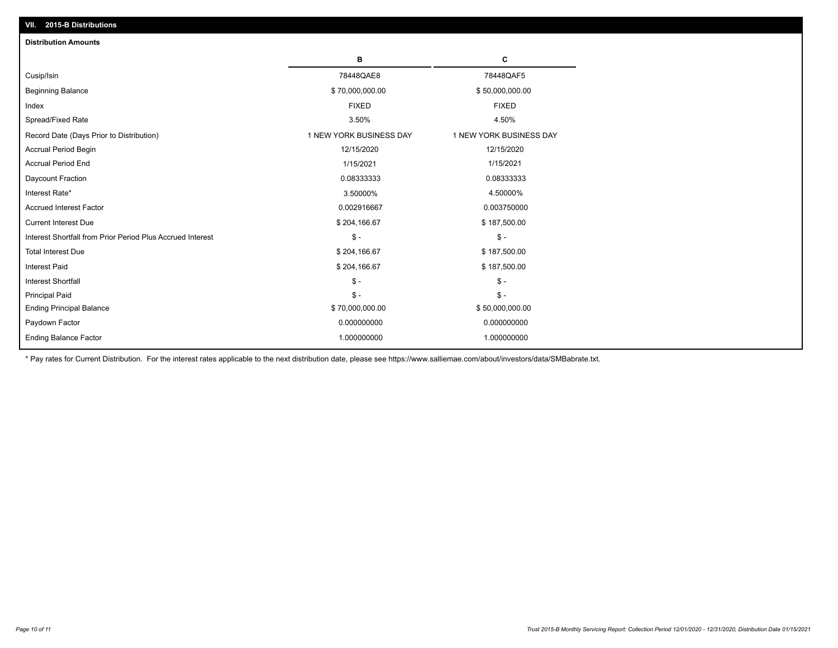| <b>Distribution Amounts</b>                                |                         |                         |  |  |  |
|------------------------------------------------------------|-------------------------|-------------------------|--|--|--|
|                                                            | в                       | C                       |  |  |  |
| Cusip/Isin                                                 | 78448QAE8               | 78448QAF5               |  |  |  |
| <b>Beginning Balance</b>                                   | \$70,000,000.00         | \$50,000,000.00         |  |  |  |
| Index                                                      | <b>FIXED</b>            | <b>FIXED</b>            |  |  |  |
| Spread/Fixed Rate                                          | 3.50%                   | 4.50%                   |  |  |  |
| Record Date (Days Prior to Distribution)                   | 1 NEW YORK BUSINESS DAY | 1 NEW YORK BUSINESS DAY |  |  |  |
| <b>Accrual Period Begin</b>                                | 12/15/2020              | 12/15/2020              |  |  |  |
| <b>Accrual Period End</b>                                  | 1/15/2021               | 1/15/2021               |  |  |  |
| Daycount Fraction                                          | 0.08333333              | 0.08333333              |  |  |  |
| Interest Rate*                                             | 3.50000%                | 4.50000%                |  |  |  |
| <b>Accrued Interest Factor</b>                             | 0.002916667             | 0.003750000             |  |  |  |
| <b>Current Interest Due</b>                                | \$204,166.67            | \$187,500.00            |  |  |  |
| Interest Shortfall from Prior Period Plus Accrued Interest | $\mathsf{\$}$ -         | $\mathsf{\$}$ -         |  |  |  |
| <b>Total Interest Due</b>                                  | \$204,166.67            | \$187,500.00            |  |  |  |
| Interest Paid                                              | \$204,166.67            | \$187,500.00            |  |  |  |
| <b>Interest Shortfall</b>                                  | $\mathcal{S}$ -         | $\mathsf{\$}$ -         |  |  |  |
| <b>Principal Paid</b>                                      | $\mathsf{\$}$ -         | $\mathsf{\$}$ -         |  |  |  |
| <b>Ending Principal Balance</b>                            | \$70,000,000.00         | \$50,000,000.00         |  |  |  |
| Paydown Factor                                             | 0.000000000             | 0.000000000             |  |  |  |
| <b>Ending Balance Factor</b>                               | 1.000000000             | 1.000000000             |  |  |  |

\* Pay rates for Current Distribution. For the interest rates applicable to the next distribution date, please see https://www.salliemae.com/about/investors/data/SMBabrate.txt.

**VII. 2015-B Distributions**